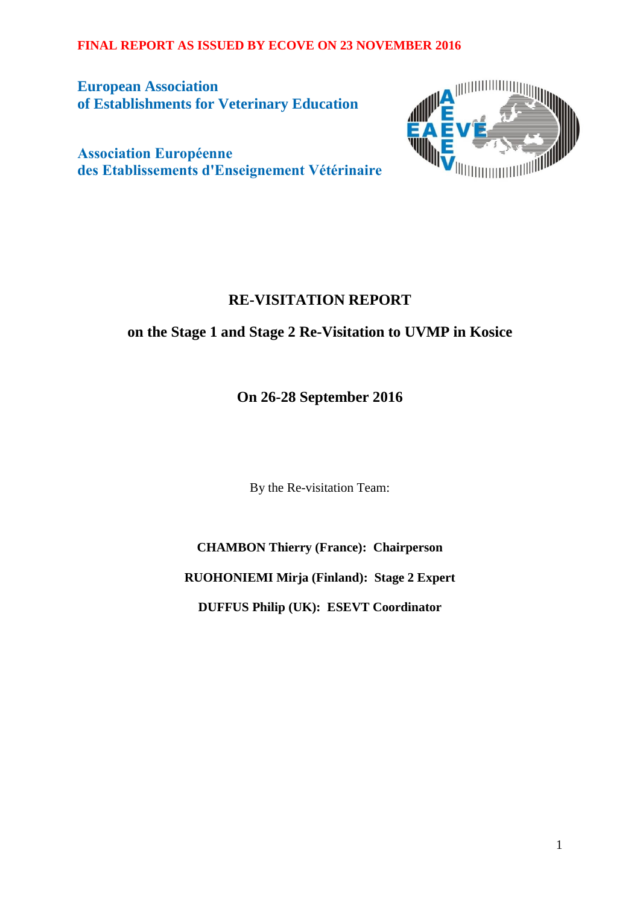**European Association of Establishments for Veterinary Education**  WINNING ON THE PARTY OF THE PARTY OF THE PARTY OF THE PARTY OF THE PARTY OF THE PARTY OF THE PARTY OF THE PARTY OF THE PARTY OF THE PARTY OF THE PARTY OF THE PARTY OF THE PARTY OF THE PARTY OF THE PARTY OF THE PARTY OF THE

**Association Européenne des Etablissements d'Enseignement Vétérinaire** 

# **RE-VISITATION REPORT**

# **on the Stage 1 and Stage 2 Re-Visitation to UVMP in Kosice**

**On 26-28 September 2016**

By the Re-visitation Team:

**CHAMBON Thierry (France): Chairperson RUOHONIEMI Mirja (Finland): Stage 2 Expert DUFFUS Philip (UK): ESEVT Coordinator**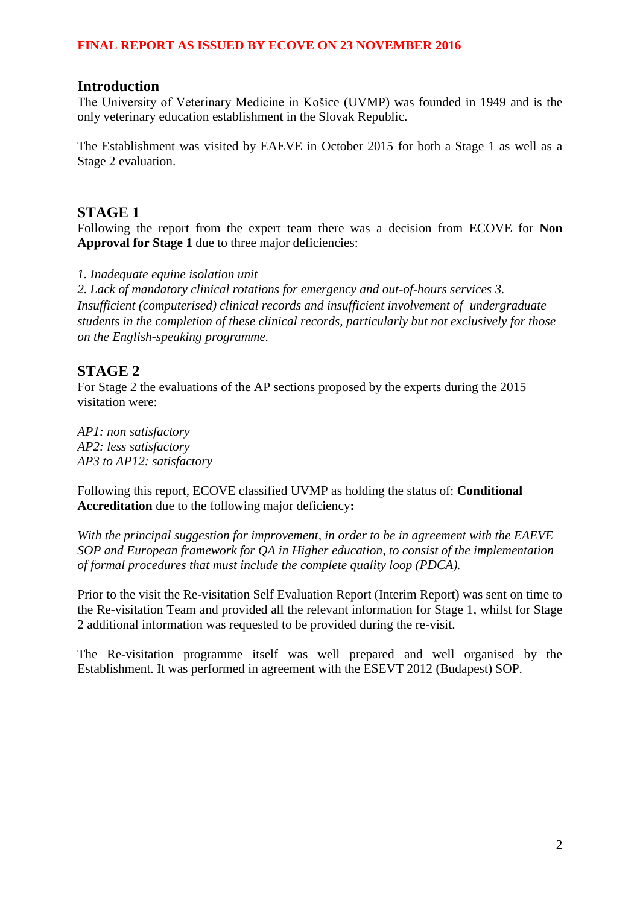#### **Introduction**

The University of Veterinary Medicine in Košice (UVMP) was founded in 1949 and is the only veterinary education establishment in the Slovak Republic.

The Establishment was visited by EAEVE in October 2015 for both a Stage 1 as well as a Stage 2 evaluation.

### **STAGE 1**

Following the report from the expert team there was a decision from ECOVE for **Non**  Approval for Stage 1 due to three major deficiencies:

*1. Inadequate equine isolation unit* 

*2. Lack of mandatory clinical rotations for emergency and out-of-hours services 3. Insufficient (computerised) clinical records and insufficient involvement of undergraduate students in the completion of these clinical records, particularly but not exclusively for those on the English-speaking programme.* 

# **STAGE 2**

For Stage 2 the evaluations of the AP sections proposed by the experts during the 2015 visitation were:

*AP1: non satisfactory AP2: less satisfactory AP3 to AP12: satisfactory*

Following this report, ECOVE classified UVMP as holding the status of: **Conditional Accreditation** due to the following major deficiency**:**

*With the principal suggestion for improvement, in order to be in agreement with the EAEVE SOP and European framework for QA in Higher education, to consist of the implementation of formal procedures that must include the complete quality loop (PDCA).*

Prior to the visit the Re-visitation Self Evaluation Report (Interim Report) was sent on time to the Re-visitation Team and provided all the relevant information for Stage 1, whilst for Stage 2 additional information was requested to be provided during the re-visit.

The Re-visitation programme itself was well prepared and well organised by the Establishment. It was performed in agreement with the ESEVT 2012 (Budapest) SOP.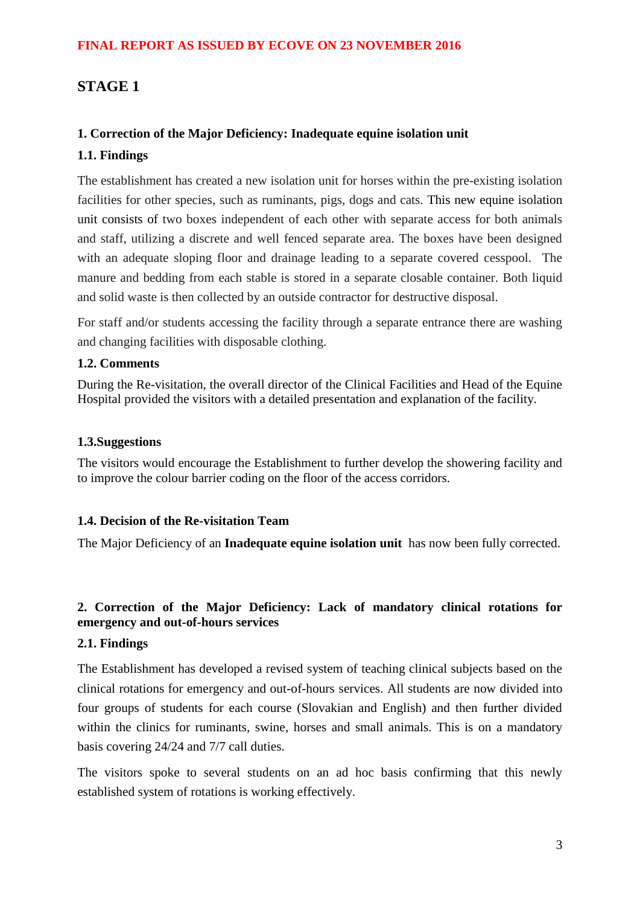# **STAGE 1**

### **1. Correction of the Major Deficiency: Inadequate equine isolation unit**

### **1.1. Findings**

The establishment has created a new isolation unit for horses within the pre-existing isolation facilities for other species, such as ruminants, pigs, dogs and cats. This new equine isolation unit consists of two boxes independent of each other with separate access for both animals and staff, utilizing a discrete and well fenced separate area. The boxes have been designed with an adequate sloping floor and drainage leading to a separate covered cesspool. The manure and bedding from each stable is stored in a separate closable container. Both liquid and solid waste is then collected by an outside contractor for destructive disposal.

For staff and/or students accessing the facility through a separate entrance there are washing and changing facilities with disposable clothing.

### **1.2. Comments**

During the Re-visitation, the overall director of the Clinical Facilities and Head of the Equine Hospital provided the visitors with a detailed presentation and explanation of the facility.

#### **1.3.Suggestions**

The visitors would encourage the Establishment to further develop the showering facility and to improve the colour barrier coding on the floor of the access corridors.

### **1.4. Decision of the Re-visitation Team**

The Major Deficiency of an **Inadequate equine isolation unit** has now been fully corrected.

# **2. Correction of the Major Deficiency: Lack of mandatory clinical rotations for emergency and out-of-hours services**

### **2.1. Findings**

The Establishment has developed a revised system of teaching clinical subjects based on the clinical rotations for emergency and out-of-hours services. All students are now divided into four groups of students for each course (Slovakian and English) and then further divided within the clinics for ruminants, swine, horses and small animals. This is on a mandatory basis covering 24/24 and 7/7 call duties.

The visitors spoke to several students on an ad hoc basis confirming that this newly established system of rotations is working effectively.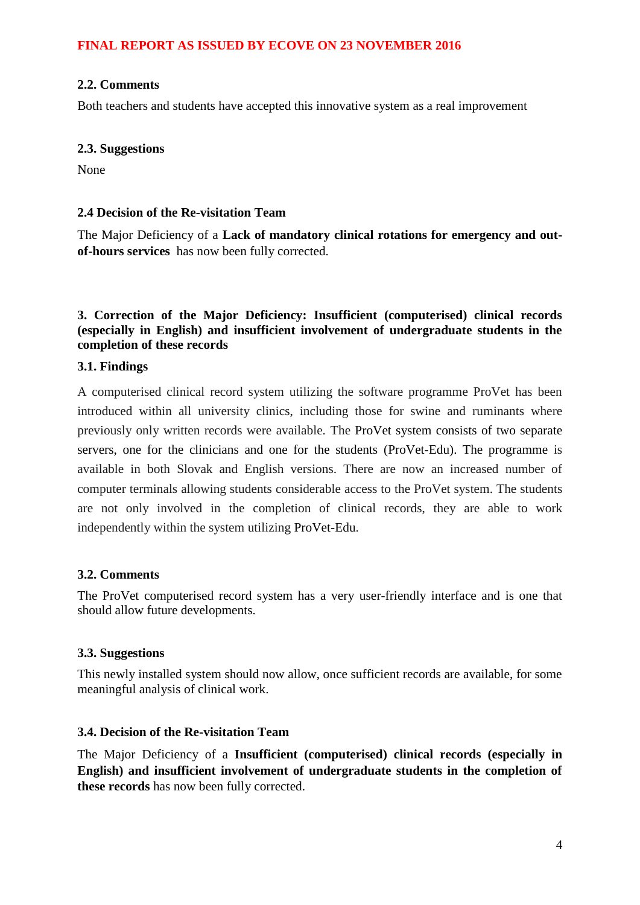#### **2.2. Comments**

Both teachers and students have accepted this innovative system as a real improvement

#### **2.3. Suggestions**

None

#### **2.4 Decision of the Re-visitation Team**

The Major Deficiency of a **Lack of mandatory clinical rotations for emergency and outof-hours services** has now been fully corrected.

#### **3. Correction of the Major Deficiency: Insufficient (computerised) clinical records (especially in English) and insufficient involvement of undergraduate students in the completion of these records**

#### **3.1. Findings**

A computerised clinical record system utilizing the software programme ProVet has been introduced within all university clinics, including those for swine and ruminants where previously only written records were available. The ProVet system consists of two separate servers, one for the clinicians and one for the students (ProVet-Edu). The programme is available in both Slovak and English versions. There are now an increased number of computer terminals allowing students considerable access to the ProVet system. The students are not only involved in the completion of clinical records, they are able to work independently within the system utilizing ProVet-Edu.

#### **3.2. Comments**

The ProVet computerised record system has a very user-friendly interface and is one that should allow future developments.

#### **3.3. Suggestions**

This newly installed system should now allow, once sufficient records are available, for some meaningful analysis of clinical work.

#### **3.4. Decision of the Re-visitation Team**

The Major Deficiency of a **Insufficient (computerised) clinical records (especially in English) and insufficient involvement of undergraduate students in the completion of these records** has now been fully corrected.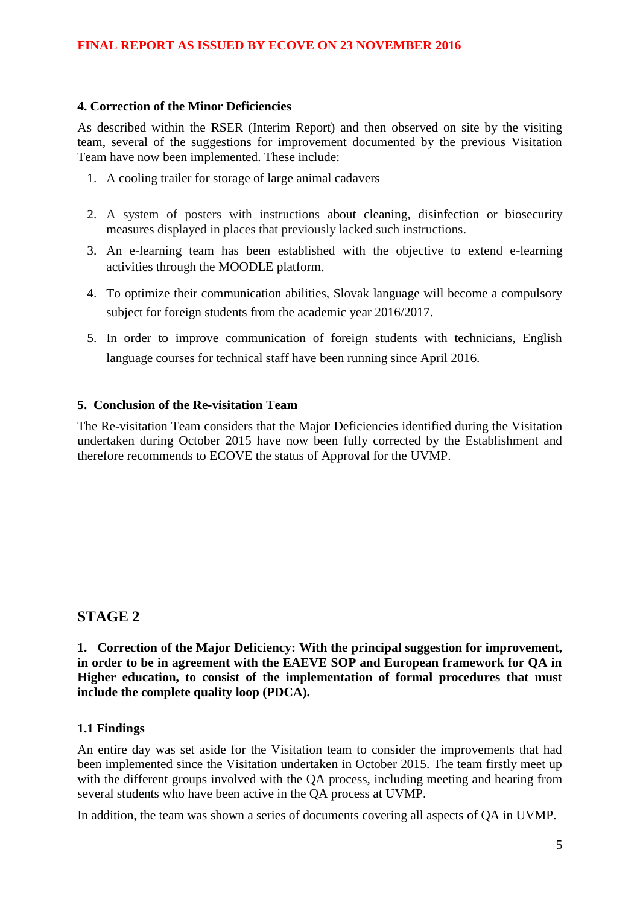#### **4. Correction of the Minor Deficiencies**

As described within the RSER (Interim Report) and then observed on site by the visiting team, several of the suggestions for improvement documented by the previous Visitation Team have now been implemented. These include:

- 1. A cooling trailer for storage of large animal cadavers
- 2. A system of posters with instructions about cleaning, disinfection or biosecurity measures displayed in places that previously lacked such instructions.
- 3. An e-learning team has been established with the objective to extend e-learning activities through the MOODLE platform.
- 4. To optimize their communication abilities, Slovak language will become a compulsory subject for foreign students from the academic year 2016/2017.
- 5. In order to improve communication of foreign students with technicians, English language courses for technical staff have been running since April 2016.

#### **5. Conclusion of the Re-visitation Team**

The Re-visitation Team considers that the Major Deficiencies identified during the Visitation undertaken during October 2015 have now been fully corrected by the Establishment and therefore recommends to ECOVE the status of Approval for the UVMP.

# **STAGE 2**

**1. Correction of the Major Deficiency: With the principal suggestion for improvement, in order to be in agreement with the EAEVE SOP and European framework for QA in Higher education, to consist of the implementation of formal procedures that must include the complete quality loop (PDCA).**

### **1.1 Findings**

An entire day was set aside for the Visitation team to consider the improvements that had been implemented since the Visitation undertaken in October 2015. The team firstly meet up with the different groups involved with the QA process, including meeting and hearing from several students who have been active in the QA process at UVMP.

In addition, the team was shown a series of documents covering all aspects of QA in UVMP.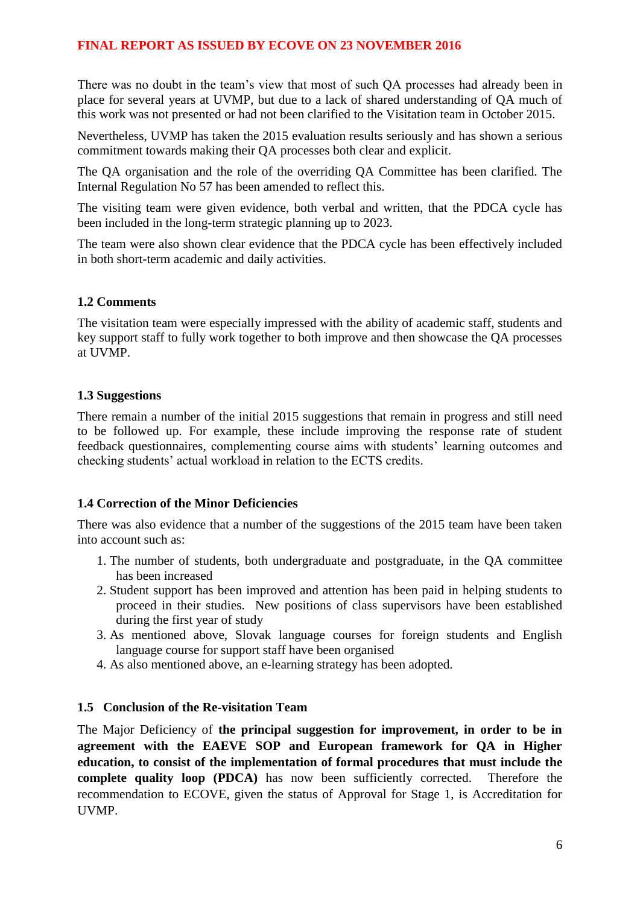There was no doubt in the team's view that most of such QA processes had already been in place for several years at UVMP, but due to a lack of shared understanding of QA much of this work was not presented or had not been clarified to the Visitation team in October 2015.

Nevertheless, UVMP has taken the 2015 evaluation results seriously and has shown a serious commitment towards making their QA processes both clear and explicit.

The QA organisation and the role of the overriding QA Committee has been clarified. The Internal Regulation No 57 has been amended to reflect this.

The visiting team were given evidence, both verbal and written, that the PDCA cycle has been included in the long-term strategic planning up to 2023.

The team were also shown clear evidence that the PDCA cycle has been effectively included in both short-term academic and daily activities.

#### **1.2 Comments**

The visitation team were especially impressed with the ability of academic staff, students and key support staff to fully work together to both improve and then showcase the QA processes at UVMP.

#### **1.3 Suggestions**

There remain a number of the initial 2015 suggestions that remain in progress and still need to be followed up. For example, these include improving the response rate of student feedback questionnaires, complementing course aims with students' learning outcomes and checking students' actual workload in relation to the ECTS credits.

### **1.4 Correction of the Minor Deficiencies**

There was also evidence that a number of the suggestions of the 2015 team have been taken into account such as:

- 1. The number of students, both undergraduate and postgraduate, in the QA committee has been increased
- 2. Student support has been improved and attention has been paid in helping students to proceed in their studies. New positions of class supervisors have been established during the first year of study
- 3. As mentioned above, Slovak language courses for foreign students and English language course for support staff have been organised
- 4. As also mentioned above, an e-learning strategy has been adopted.

#### **1.5 Conclusion of the Re-visitation Team**

The Major Deficiency of **the principal suggestion for improvement, in order to be in agreement with the EAEVE SOP and European framework for QA in Higher education, to consist of the implementation of formal procedures that must include the complete quality loop (PDCA)** has now been sufficiently corrected. Therefore the recommendation to ECOVE, given the status of Approval for Stage 1, is Accreditation for UVMP.